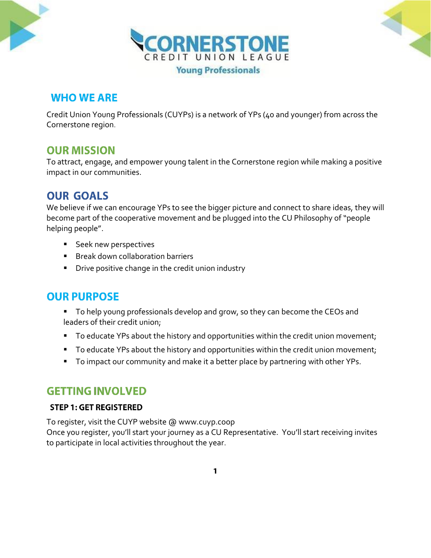

# **WHO WE ARE**

Credit Union Young Professionals (CUYPs) is a network of YPs (40 and younger) from across the Cornerstone region.

## **OUR MISSION**

To attract, engage, and empower young talent in the Cornerstone region while making a positive impact in our communities.

# **OUR GOALS**

We believe if we can encourage YPs to see the bigger picture and connect to share ideas, they will become part of the cooperative movement and be plugged into the CU Philosophy of "people helping people".

- **Seek new perspectives**
- **Break down collaboration barriers**
- **Drive positive change in the credit union industry**

# **OUR PURPOSE**

- To help young professionals develop and grow, so they can become the CEOs and leaders of their credit union;
- To educate YPs about the history and opportunities within the credit union movement;
- To educate YPs about the history and opportunities within the credit union movement;
- To impact our community and make it a better place by partnering with other YPs.

### **GETTING INVOLVED**

### **STEP 1: GET REGISTERED**

To register, visit the CUYP website @ www.cuyp.coop Once you register, you'll start your journey as a CU Representative. You'll start receiving invites to participate in local activities throughout the year.